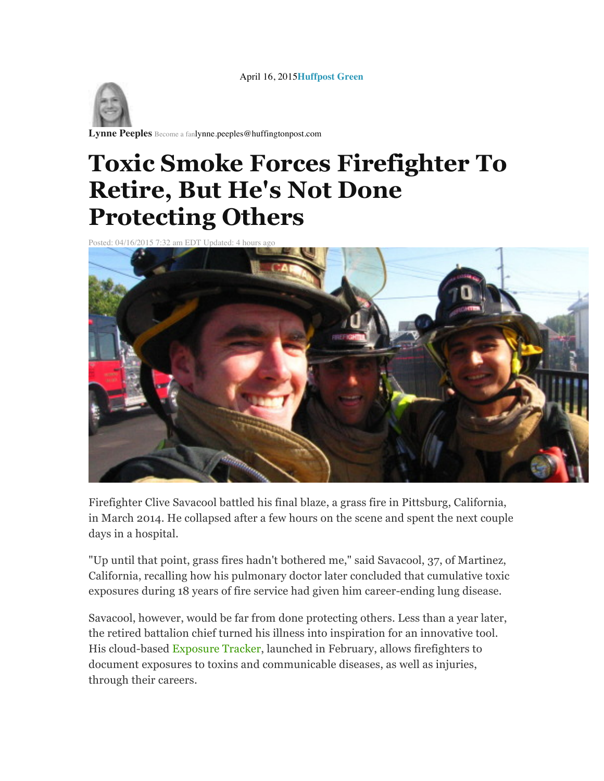

**Lynne Peeples** Become a fanlynne.peeples@huffingtonpost.com

## **Toxic Smoke Forces Firefighter To Retire, But He's Not Done Protecting Others**

Posted: 04/16/2015 7:32 am EDT Updated: 4 hours



Firefighter Clive Savacool battled his final blaze, a grass fire in Pittsburg, California, in March 2014. He collapsed after a few hours on the scene and spent the next couple days in a hospital.

"Up until that point, grass fires hadn't bothered me," said Savacool, 37, of Martinez, California, recalling how his pulmonary doctor later concluded that cumulative toxic exposures during 18 years of fire service had given him career-ending lung disease.

Savacool, however, would be far from done protecting others. Less than a year later, the retired battalion chief turned his illness into inspiration for an innovative tool. His cloud-based Exposure Tracker, launched in February, allows firefighters to document exposures to toxins and communicable diseases, as well as injuries, through their careers.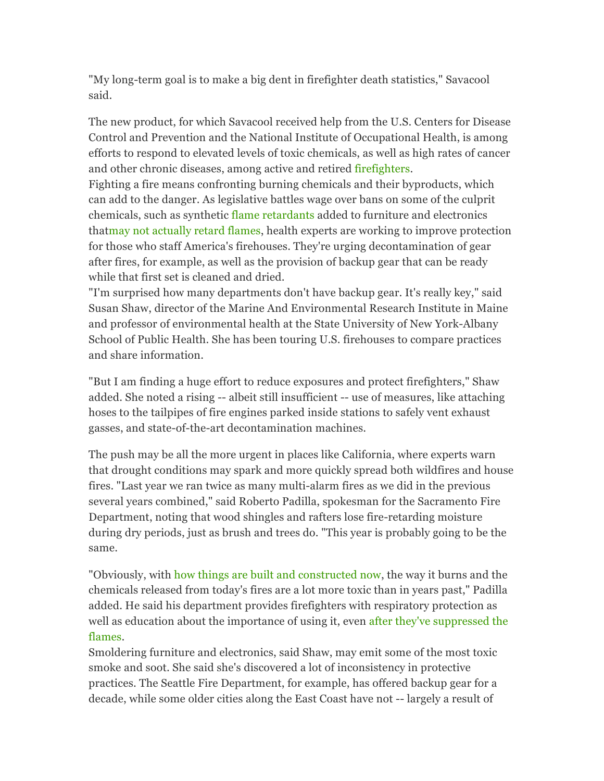"My long-term goal is to make a big dent in firefighter death statistics," Savacool said.

The new product, for which Savacool received help from the U.S. Centers for Disease Control and Prevention and the National Institute of Occupational Health, is among efforts to respond to elevated levels of toxic chemicals, as well as high rates of cancer and other chronic diseases, among active and retired firefighters.

Fighting a fire means confronting burning chemicals and their byproducts, which can add to the danger. As legislative battles wage over bans on some of the culprit chemicals, such as synthetic flame retardants added to furniture and electronics thatmay not actually retard flames, health experts are working to improve protection for those who staff America's firehouses. They're urging decontamination of gear after fires, for example, as well as the provision of backup gear that can be ready while that first set is cleaned and dried.

"I'm surprised how many departments don't have backup gear. It's really key," said Susan Shaw, director of the Marine And Environmental Research Institute in Maine and professor of environmental health at the State University of New York-Albany School of Public Health. She has been touring U.S. firehouses to compare practices and share information.

"But I am finding a huge effort to reduce exposures and protect firefighters," Shaw added. She noted a rising -- albeit still insufficient -- use of measures, like attaching hoses to the tailpipes of fire engines parked inside stations to safely vent exhaust gasses, and state-of-the-art decontamination machines.

The push may be all the more urgent in places like California, where experts warn that drought conditions may spark and more quickly spread both wildfires and house fires. "Last year we ran twice as many multi-alarm fires as we did in the previous several years combined," said Roberto Padilla, spokesman for the Sacramento Fire Department, noting that wood shingles and rafters lose fire-retarding moisture during dry periods, just as brush and trees do. "This year is probably going to be the same.

"Obviously, with how things are built and constructed now, the way it burns and the chemicals released from today's fires are a lot more toxic than in years past," Padilla added. He said his department provides firefighters with respiratory protection as well as education about the importance of using it, even after they've suppressed the flames.

Smoldering furniture and electronics, said Shaw, may emit some of the most toxic smoke and soot. She said she's discovered a lot of inconsistency in protective practices. The Seattle Fire Department, for example, has offered backup gear for a decade, while some older cities along the East Coast have not -- largely a result of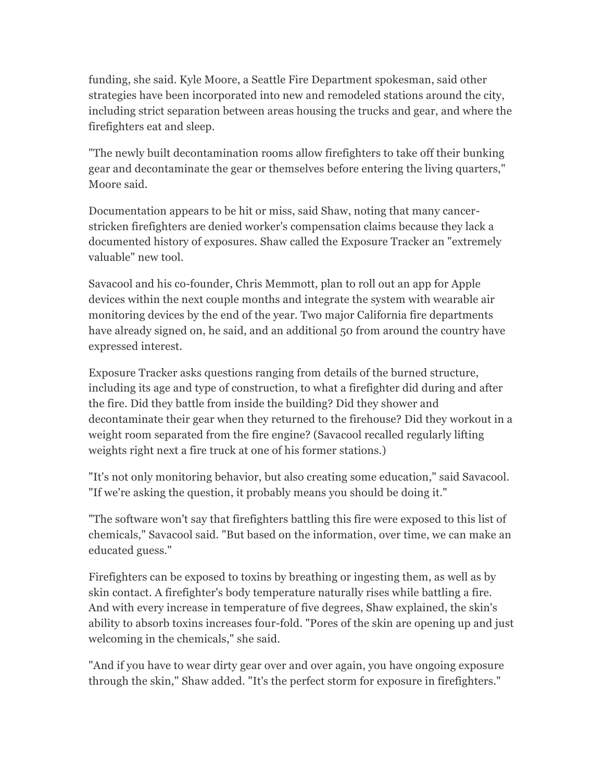funding, she said. Kyle Moore, a Seattle Fire Department spokesman, said other strategies have been incorporated into new and remodeled stations around the city, including strict separation between areas housing the trucks and gear, and where the firefighters eat and sleep.

"The newly built decontamination rooms allow firefighters to take off their bunking gear and decontaminate the gear or themselves before entering the living quarters," Moore said.

Documentation appears to be hit or miss, said Shaw, noting that many cancerstricken firefighters are denied worker's compensation claims because they lack a documented history of exposures. Shaw called the Exposure Tracker an "extremely valuable" new tool.

Savacool and his co-founder, Chris Memmott, plan to roll out an app for Apple devices within the next couple months and integrate the system with wearable air monitoring devices by the end of the year. Two major California fire departments have already signed on, he said, and an additional 50 from around the country have expressed interest.

Exposure Tracker asks questions ranging from details of the burned structure, including its age and type of construction, to what a firefighter did during and after the fire. Did they battle from inside the building? Did they shower and decontaminate their gear when they returned to the firehouse? Did they workout in a weight room separated from the fire engine? (Savacool recalled regularly lifting weights right next a fire truck at one of his former stations.)

"It's not only monitoring behavior, but also creating some education," said Savacool. "If we're asking the question, it probably means you should be doing it."

"The software won't say that firefighters battling this fire were exposed to this list of chemicals," Savacool said. "But based on the information, over time, we can make an educated guess."

Firefighters can be exposed to toxins by breathing or ingesting them, as well as by skin contact. A firefighter's body temperature naturally rises while battling a fire. And with every increase in temperature of five degrees, Shaw explained, the skin's ability to absorb toxins increases four-fold. "Pores of the skin are opening up and just welcoming in the chemicals," she said.

"And if you have to wear dirty gear over and over again, you have ongoing exposure through the skin," Shaw added. "It's the perfect storm for exposure in firefighters."